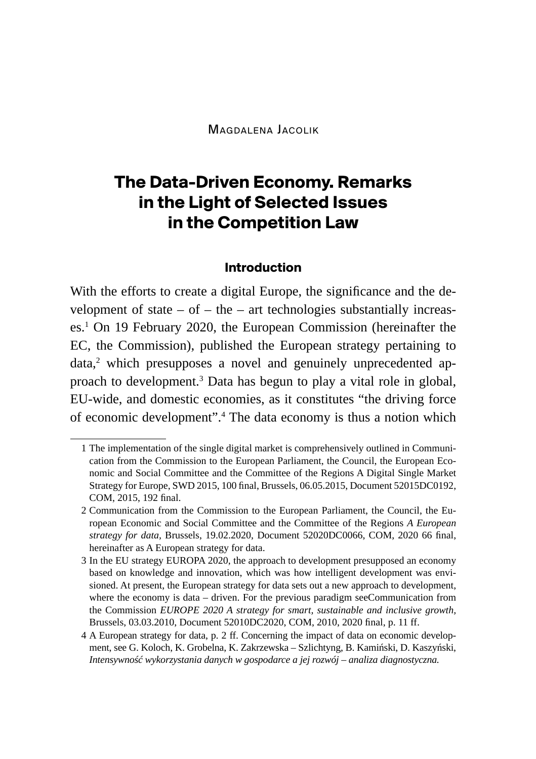Magdalena Jacolik

# **The Data-Driven Economy. Remarks in the Light of Selected Issues in the Competition Law**

#### **Introduction**

With the efforts to create a digital Europe, the significance and the development of state  $-$  of  $-$  the  $-$  art technologies substantially increases.<sup>1</sup> On 19 February 2020, the European Commission (hereinafter the EC, the Commission), published the European strategy pertaining to data, $^2$  which presupposes a novel and genuinely unprecedented approach to development.<sup>3</sup> Data has begun to play a vital role in global, EU-wide, and domestic economies, as it constitutes "the driving force of economic development".4 The data economy is thus a notion which

<sup>1</sup> The implementation of the single digital market is comprehensively outlined in Communication from the Commission to the European Parliament, the Council, the European Economic and Social Committee and the Committee of the Regions A Digital Single Market Strategy for Europe, SWD 2015, 100 final, Brussels, 06.05.2015, Document 52015DC0192, COM, 2015, 192 final.

<sup>2</sup> Communication from the Commission to the European Parliament, the Council, the European Economic and Social Committee and the Committee of the Regions *A European strategy for data,* Brussels, 19.02.2020, Document 52020DC0066, COM, 2020 66 final, hereinafter as A European strategy for data.

<sup>3</sup> In the EU strategy EUROPA 2020, the approach to development presupposed an economy based on knowledge and innovation, which was how intelligent development was envisioned. At present, the European strategy for data sets out a new approach to development, where the economy is data – driven. For the previous paradigm seeCommunication from the Commission *EUROPE 2020 A strategy for smart, sustainable and inclusive growth,*  Brussels, 03.03.2010, Document 52010DC2020, COM, 2010, 2020 final, p. 11 ff.

<sup>4</sup> A European strategy for data, p. 2 ff. Concerning the impact of data on economic development, see G. Koloch, K. Grobelna, K. Zakrzewska – Szlichtyng, B. Kamiński, D. Kaszyński, *Intensywność wykorzystania danych w gospodarce a jej rozwój – analiza diagnostyczna.*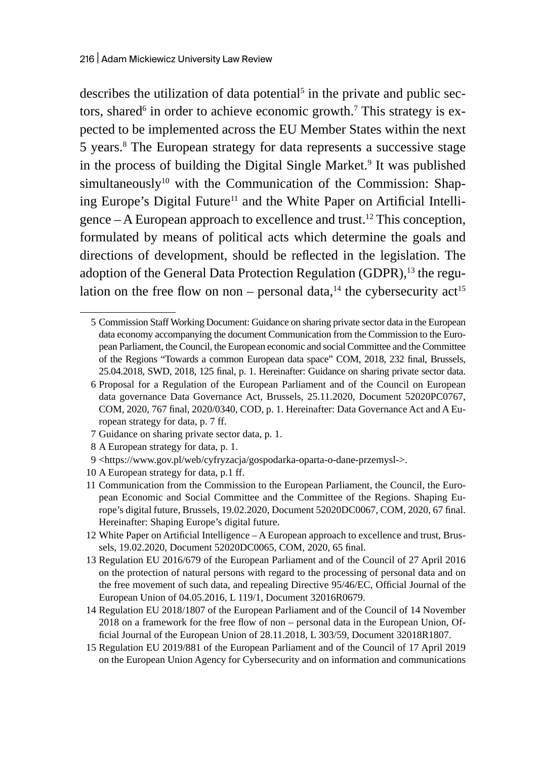describes the utilization of data potential<sup>5</sup> in the private and public sectors, shared $^6$  in order to achieve economic growth. $^7$  This strategy is expected to be implemented across the EU Member States within the next 5 years.<sup>8</sup> The European strategy for data represents a successive stage in the process of building the Digital Single Market.<sup>9</sup> It was published simultaneously<sup>10</sup> with the Communication of the Commission: Shaping Europe's Digital Future<sup>11</sup> and the White Paper on Artificial Intelligence  $-A$  European approach to excellence and trust.<sup>12</sup> This conception, formulated by means of political acts which determine the goals and directions of development, should be reflected in the legislation. The adoption of the General Data Protection Regulation (GDPR),<sup>13</sup> the regulation on the free flow on non – personal data,<sup>14</sup> the cybersecurity act<sup>15</sup>

- 7 Guidance on sharing private sector data, p. 1.
- 8 A European strategy for data, p. 1.
- 9 <https://www.gov.pl/web/cyfryzacja/gospodarka-oparta-o-dane-przemysl->.
- 10 A European strategy for data, p.1 ff.

15 Regulation EU 2019/881 of the European Parliament and of the Council of 17 April 2019 on the European Union Agency for Cybersecurity and on information and communications

<sup>5</sup> Commission Staff Working Document: Guidance on sharing private sector data in the European data economy accompanying the document Communication from the Commission to the European Parliament, the Council, the European economic and social Committee and the Committee of the Regions "Towards a common European data space" COM, 2018, 232 final, Brussels, 25.04.2018, SWD, 2018, 125 final, p. 1. Hereinafter: Guidance on sharing private sector data.

<sup>6</sup> Proposal for a Regulation of the European Parliament and of the Council on European data governance Data Governance Act, Brussels, 25.11.2020, Document 52020PC0767, COM, 2020, 767 final, 2020/0340, COD, p. 1. Hereinafter: Data Governance Act and A European strategy for data, p. 7 ff.

<sup>11</sup> Communication from the Commission to the European Parliament, the Council, the European Economic and Social Committee and the Committee of the Regions. Shaping Europe's digital future, Brussels, 19.02.2020, Document 52020DC0067, COM, 2020, 67 final. Hereinafter: Shaping Europe's digital future.

<sup>12</sup> White Paper on Artificial Intelligence – A European approach to excellence and trust, Brussels, 19.02.2020, Document 52020DC0065, COM, 2020, 65 final.

<sup>13</sup> Regulation EU 2016/679 of the European Parliament and of the Council of 27 April 2016 on the protection of natural persons with regard to the processing of personal data and on the free movement of such data, and repealing Directive 95/46/EC, Official Journal of the European Union of 04.05.2016, L 119/1, Document 32016R0679.

<sup>14</sup> Regulation EU 2018/1807 of the European Parliament and of the Council of 14 November 2018 on a framework for the free flow of non – personal data in the European Union, Official Journal of the European Union of 28.11.2018, L 303/59, Document 32018R1807.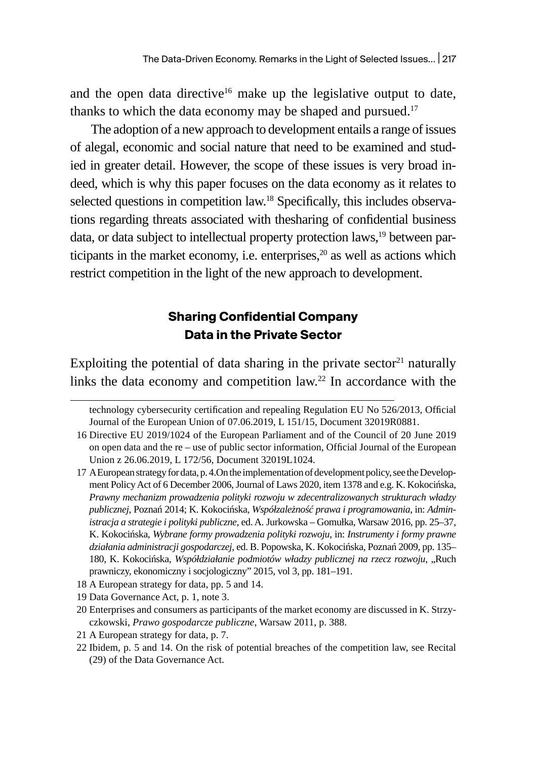and the open data directive<sup>16</sup> make up the legislative output to date, thanks to which the data economy may be shaped and pursued.<sup>17</sup>

The adoption of a new approach to development entails a range of issues of alegal, economic and social nature that need to be examined and studied in greater detail. However, the scope of these issues is very broad indeed, which is why this paper focuses on the data economy as it relates to selected questions in competition law.<sup>18</sup> Specifically, this includes observations regarding threats associated with thesharing of confidential business data, or data subject to intellectual property protection laws,<sup>19</sup> between participants in the market economy, i.e. enterprises, $20$  as well as actions which restrict competition in the light of the new approach to development.

### **Sharing Confidential Company Data in the Private Sector**

Exploiting the potential of data sharing in the private sector $21$  naturally links the data economy and competition law.<sup>22</sup> In accordance with the

- 18 A European strategy for data, pp. 5 and 14.
- 19 Data Governance Act, p. 1, note 3.
- 20 Enterprises and consumers as participants of the market economy are discussed in K. Strzyczkowski, *Prawo gospodarcze publiczne*, Warsaw 2011, p. 388.
- 21 A European strategy for data, p. 7.
- 22 Ibidem, p. 5 and 14. On the risk of potential breaches of the competition law, see Recital (29) of the Data Governance Act.

technology cybersecurity certification and repealing Regulation EU No 526/2013, Official Journal of the European Union of 07.06.2019, L 151/15, Document 32019R0881.

<sup>16</sup> Directive EU 2019/1024 of the European Parliament and of the Council of 20 June 2019 on open data and the re – use of public sector information, Official Journal of the European Union z 26.06.2019, L 172/56, Document 32019L1024.

<sup>17</sup> AEuropean strategy for data, p.4.On the implementation of development policy, see the Development Policy Act of 6 December 2006, Journal of Laws 2020, item 1378 and e.g. K. Kokocińska, *Prawny mechanizm prowadzenia polityki rozwoju w zdecentralizowanych strukturach władzy publicznej*, Poznań 2014; K. Kokocińska, *Współzależność prawa i programowania*, in: *Administracja a strategie i polityki publiczne,* ed. A. Jurkowska – Gomułka, Warsaw 2016, pp. 25–37, K. Kokocińska, *Wybrane formy prowadzenia polityki rozwoju*, in: *Instrumenty i formy prawne działania administracji gospodarczej*, ed. B. Popowska, K. Kokocińska, Poznań 2009, pp. 135– 180, K. Kokocińska, Współdziałanie podmiotów władzy publicznej na rzecz rozwoju, "Ruch prawniczy, ekonomiczny i socjologiczny" 2015, vol 3, pp. 181–191.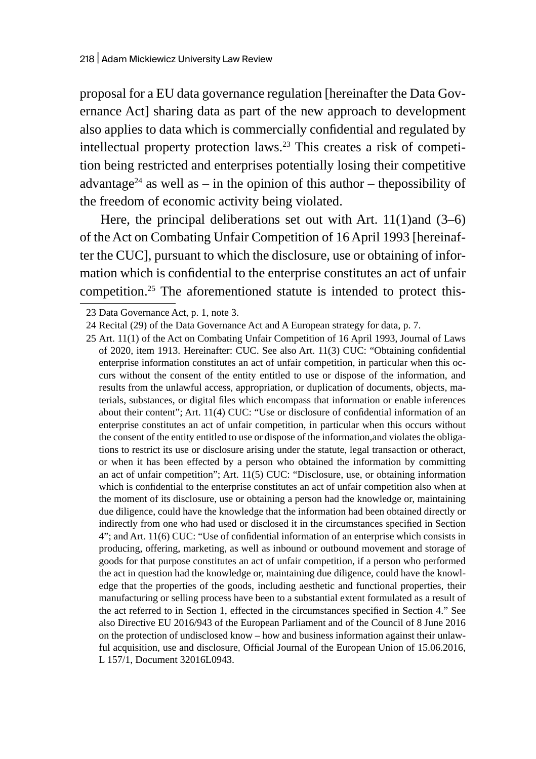proposal for a EU data governance regulation [hereinafter the Data Governance Act] sharing data as part of the new approach to development also applies to data which is commercially confidential and regulated by intellectual property protection laws.<sup>23</sup> This creates a risk of competition being restricted and enterprises potentially losing their competitive advantage<sup>24</sup> as well as – in the opinion of this author – the possibility of the freedom of economic activity being violated.

Here, the principal deliberations set out with Art. 11(1)and (3–6) of the Act on Combating Unfair Competition of 16 April 1993 [hereinafter the CUC], pursuant to which the disclosure, use or obtaining of information which is confidential to the enterprise constitutes an act of unfair competition.25 The aforementioned statute is intended to protect this-

<sup>23</sup> Data Governance Act, p. 1, note 3.

<sup>24</sup> Recital (29) of the Data Governance Act and A European strategy for data, p. 7.

<sup>25</sup> Art. 11(1) of the Act on Combating Unfair Competition of 16 April 1993, Journal of Laws of 2020, item 1913. Hereinafter: CUC. See also Art. 11(3) CUC: "Obtaining confidential enterprise information constitutes an act of unfair competition, in particular when this occurs without the consent of the entity entitled to use or dispose of the information, and results from the unlawful access, appropriation, or duplication of documents, objects, materials, substances, or digital files which encompass that information or enable inferences about their content"; Art. 11(4) CUC: "Use or disclosure of confidential information of an enterprise constitutes an act of unfair competition, in particular when this occurs without the consent of the entity entitled to use or dispose of the information,and violates the obligations to restrict its use or disclosure arising under the statute, legal transaction or otheract, or when it has been effected by a person who obtained the information by committing an act of unfair competition"; Art. 11(5) CUC: "Disclosure, use, or obtaining information which is confidential to the enterprise constitutes an act of unfair competition also when at the moment of its disclosure, use or obtaining a person had the knowledge or, maintaining due diligence, could have the knowledge that the information had been obtained directly or indirectly from one who had used or disclosed it in the circumstances specified in Section 4"; and Art. 11(6) CUC: "Use of confidential information of an enterprise which consists in producing, offering, marketing, as well as inbound or outbound movement and storage of goods for that purpose constitutes an act of unfair competition, if a person who performed the act in question had the knowledge or, maintaining due diligence, could have the knowledge that the properties of the goods, including aesthetic and functional properties, their manufacturing or selling process have been to a substantial extent formulated as a result of the act referred to in Section 1, effected in the circumstances specified in Section 4." See also Directive EU 2016/943 of the European Parliament and of the Council of 8 June 2016 on the protection of undisclosed know – how and business information against their unlawful acquisition, use and disclosure*,* Official Journal of the European Union of 15.06.2016, L 157/1, Document 32016L0943.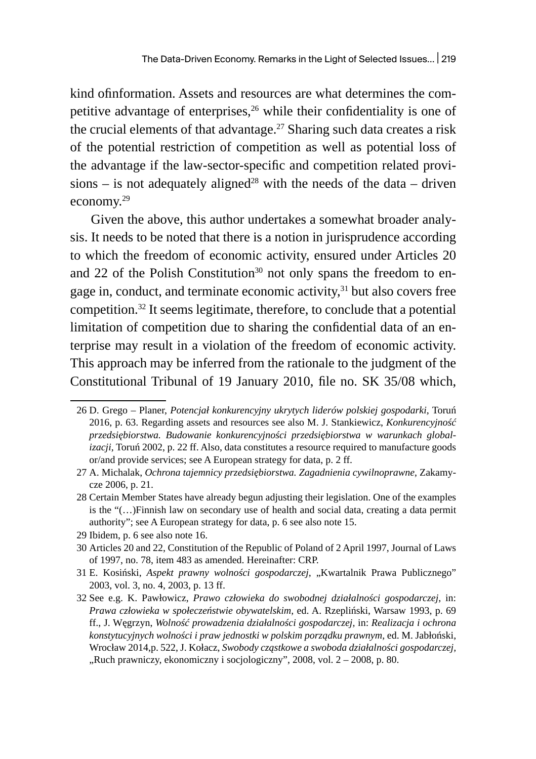kind ofinformation. Assets and resources are what determines the competitive advantage of enterprises,<sup>26</sup> while their confidentiality is one of the crucial elements of that advantage.<sup>27</sup> Sharing such data creates a risk of the potential restriction of competition as well as potential loss of the advantage if the law-sector-specific and competition related provisions – is not adequately aligned<sup>28</sup> with the needs of the data – driven economy.<sup>29</sup>

Given the above, this author undertakes a somewhat broader analysis. It needs to be noted that there is a notion in jurisprudence according to which the freedom of economic activity, ensured under Articles 20 and 22 of the Polish Constitution<sup>30</sup> not only spans the freedom to engage in, conduct, and terminate economic activity, $31$  but also covers free competition.32 It seems legitimate, therefore, to conclude that a potential limitation of competition due to sharing the confidential data of an enterprise may result in a violation of the freedom of economic activity. This approach may be inferred from the rationale to the judgment of the Constitutional Tribunal of 19 January 2010, file no. SK 35/08 which,

29 Ibidem, p. 6 see also note 16.

<sup>26</sup> D. Grego – Planer, *Potencjał konkurencyjny ukrytych liderów polskiej gospodarki*, Toruń 2016, p. 63. Regarding assets and resources see also M. J. Stankiewicz, *Konkurencyjność przedsiębiorstwa. Budowanie konkurencyjności przedsiębiorstwa w warunkach globalizacji*, Toruń 2002, p. 22 ff. Also, data constitutes a resource required to manufacture goods or/and provide services; see A European strategy for data, p. 2 ff.

<sup>27</sup> A. Michalak, *Ochrona tajemnicy przedsiębiorstwa. Zagadnienia cywilnoprawne*, Zakamycze 2006, p. 21.

<sup>28</sup> Certain Member States have already begun adjusting their legislation. One of the examples is the "(…)Finnish law on secondary use of health and social data, creating a data permit authority"; see A European strategy for data, p. 6 see also note 15.

<sup>30</sup> Articles 20 and 22, Constitution of the Republic of Poland of 2 April 1997, Journal of Laws of 1997, no. 78, item 483 as amended. Hereinafter: CRP.

<sup>31</sup> E. Kosiński, *Aspekt prawny wolności gospodarczej*, "Kwartalnik Prawa Publicznego" 2003, vol. 3, no. 4, 2003, p. 13 ff.

<sup>32</sup> See e.g. K. Pawłowicz, *Prawo człowieka do swobodnej działalności gospodarczej*, in: *Prawa człowieka w społeczeństwie obywatelskim,* ed. A. Rzepliński, Warsaw 1993, p. 69 ff., J. Węgrzyn, *Wolność prowadzenia działalności gospodarczej,* in: *Realizacja i ochrona konstytucyjnych wolności i praw jednostki w polskim porządku prawnym,* ed. M. Jabłoński, Wrocław 2014,p. 522, J. Kołacz, *Swobody cząstkowe a swoboda działalności gospodarczej,*  "Ruch prawniczy, ekonomiczny i socjologiczny", 2008, vol. 2 - 2008, p. 80.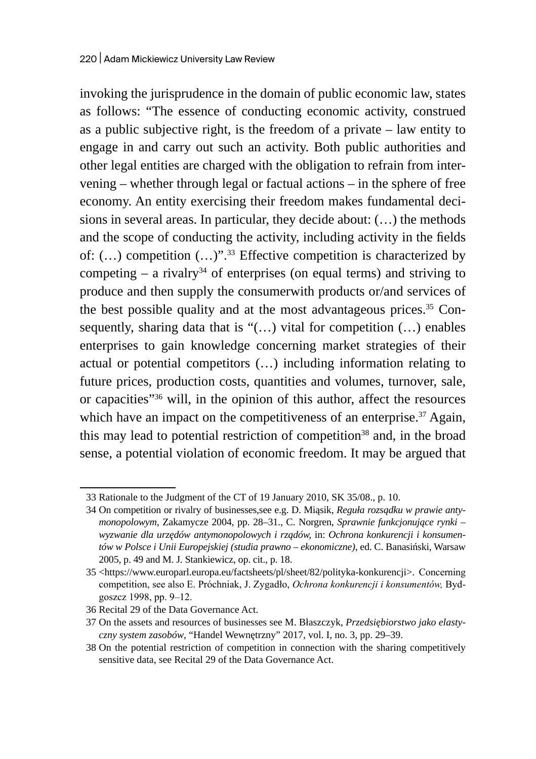invoking the jurisprudence in the domain of public economic law, states as follows: "The essence of conducting economic activity, construed as a public subjective right, is the freedom of a private – law entity to engage in and carry out such an activity. Both public authorities and other legal entities are charged with the obligation to refrain from intervening – whether through legal or factual actions – in the sphere of free economy. An entity exercising their freedom makes fundamental decisions in several areas. In particular, they decide about: (…) the methods and the scope of conducting the activity, including activity in the fields of:  $(...)$  competition  $(...)$ ".<sup>33</sup> Effective competition is characterized by competing  $-$  a rivalry<sup>34</sup> of enterprises (on equal terms) and striving to produce and then supply the consumerwith products or/and services of the best possible quality and at the most advantageous prices.<sup>35</sup> Consequently, sharing data that is " $(...)$  vital for competition  $(...)$  enables enterprises to gain knowledge concerning market strategies of their actual or potential competitors (…) including information relating to future prices, production costs, quantities and volumes, turnover, sale, or capacities"<sup>36</sup> will, in the opinion of this author, affect the resources which have an impact on the competitiveness of an enterprise.<sup>37</sup> Again, this may lead to potential restriction of competition<sup>38</sup> and, in the broad sense, a potential violation of economic freedom. It may be argued that

<sup>33</sup> Rationale to the Judgment of the CT of 19 January 2010, SK 35/08., p. 10.

<sup>34</sup> On competition or rivalry of businesses,see e.g. D. Miąsik, *Reguła rozsądku w prawie antymonopolowym*, Zakamycze 2004, pp. 28–31., C. Norgren, *Sprawnie funkcjonujące rynki – wyzwanie dla urzędów antymonopolowych i rządów,* in: *Ochrona konkurencji i konsumentów w Polsce i Unii Europejskiej (studia prawno – ekonomiczne)*, ed. C. Banasiński, Warsaw 2005, p. 49 and M. J. Stankiewicz, op. cit., p. 18.

<sup>35</sup> <https://www.europarl.europa.eu/factsheets/pl/sheet/82/polityka-konkurencji>. Concerning competition, see also E. Próchniak, J. Zygadło, *Ochrona konkurencji i konsumentów,* Bydgoszcz 1998, pp. 9–12.

<sup>36</sup> Recital 29 of the Data Governance Act.

<sup>37</sup> On the assets and resources of businesses see M. Błaszczyk, *Przedsiębiorstwo jako elastyczny system zasobów*, "Handel Wewnętrzny" 2017, vol. I, no. 3, pp. 29–39.

<sup>38</sup> On the potential restriction of competition in connection with the sharing competitively sensitive data, see Recital 29 of the Data Governance Act.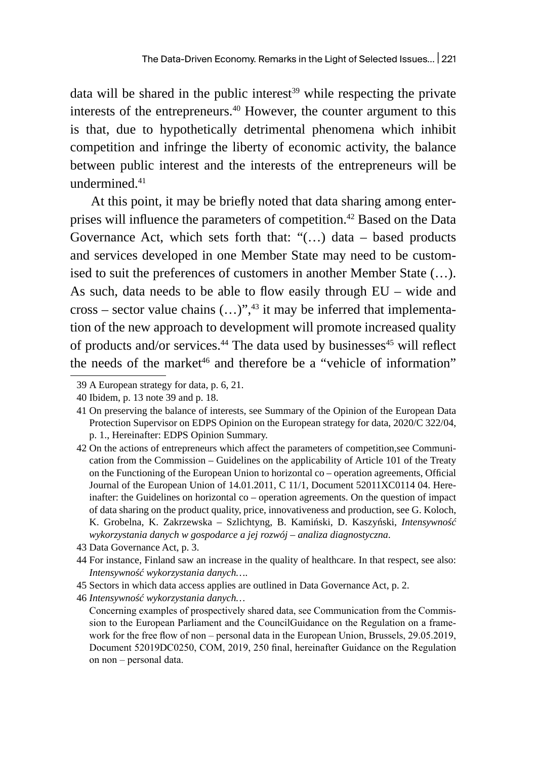data will be shared in the public interest<sup>39</sup> while respecting the private interests of the entrepreneurs.<sup>40</sup> However, the counter argument to this is that, due to hypothetically detrimental phenomena which inhibit competition and infringe the liberty of economic activity, the balance between public interest and the interests of the entrepreneurs will be undermined.41

At this point, it may be briefly noted that data sharing among enterprises will influence the parameters of competition.<sup>42</sup> Based on the Data Governance Act, which sets forth that:  $\lq$ (...) data – based products and services developed in one Member State may need to be customised to suit the preferences of customers in another Member State (…). As such, data needs to be able to flow easily through EU – wide and cross – sector value chains  $(...)^{v}$ ,<sup>43</sup> it may be inferred that implementation of the new approach to development will promote increased quality of products and/or services.<sup>44</sup> The data used by businesses<sup>45</sup> will reflect the needs of the market<sup>46</sup> and therefore be a "vehicle of information"

46 *Intensywność wykorzystania danych…*

<sup>39</sup> A European strategy for data, p. 6, 21.

<sup>40</sup> Ibidem, p. 13 note 39 and p. 18.

<sup>41</sup> On preserving the balance of interests, see Summary of the Opinion of the European Data Protection Supervisor on EDPS Opinion on the European strategy for data, 2020/C 322/04, p. 1., Hereinafter: EDPS Opinion Summary.

<sup>42</sup> On the actions of entrepreneurs which affect the parameters of competition,see Communication from the Commission – Guidelines on the applicability of Article 101 of the Treaty on the Functioning of the European Union to horizontal co – operation agreements, Official Journal of the European Union of 14.01.2011, C 11/1, Document 52011XC0114 04. Hereinafter: the Guidelines on horizontal co – operation agreements. On the question of impact of data sharing on the product quality, price, innovativeness and production, see G. Koloch, K. Grobelna, K. Zakrzewska – Szlichtyng, B. Kamiński, D. Kaszyński, *Intensywność wykorzystania danych w gospodarce a jej rozwój – analiza diagnostyczna*.

<sup>43</sup> Data Governance Act, p. 3.

<sup>44</sup> For instance, Finland saw an increase in the quality of healthcare. In that respect, see also: *Intensywność wykorzystania danych…*.

<sup>45</sup> Sectors in which data access applies are outlined in Data Governance Act, p. 2.

Concerning examples of prospectively shared data, see Communication from the Commission to the European Parliament and the CouncilGuidance on the Regulation on a framework for the free flow of non – personal data in the European Union, Brussels, 29.05.2019, Document 52019DC0250, COM, 2019, 250 final, hereinafter Guidance on the Regulation on non – personal data.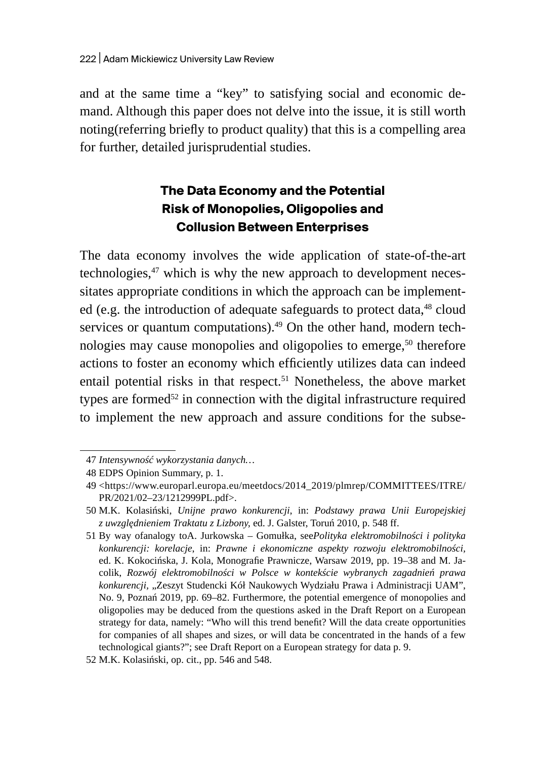and at the same time a "key" to satisfying social and economic demand. Although this paper does not delve into the issue, it is still worth noting(referring briefly to product quality) that this is a compelling area for further, detailed jurisprudential studies.

# **The Data Economy and the Potential Risk of Monopolies, Oligopolies and Collusion Between Enterprises**

The data economy involves the wide application of state-of-the-art technologies,<sup>47</sup> which is why the new approach to development necessitates appropriate conditions in which the approach can be implemented (e.g. the introduction of adequate safeguards to protect data, $48$  cloud services or quantum computations). $49$  On the other hand, modern technologies may cause monopolies and oligopolies to emerge,<sup>50</sup> therefore actions to foster an economy which efficiently utilizes data can indeed entail potential risks in that respect.<sup>51</sup> Nonetheless, the above market types are formed<sup>52</sup> in connection with the digital infrastructure required to implement the new approach and assure conditions for the subse-

<sup>47</sup> *Intensywność wykorzystania danych…*

<sup>48</sup> EDPS Opinion Summary, p. 1.

<sup>49</sup> <https://www.europarl.europa.eu/meetdocs/2014\_2019/plmrep/COMMITTEES/ITRE/ PR/2021/02–23/1212999PL.pdf>.

<sup>50</sup> M.K. Kolasiński, *Unijne prawo konkurencji*, in: *Podstawy prawa Unii Europejskiej z uwzględnieniem Traktatu z Lizbony,* ed. J. Galster, Toruń 2010, p. 548 ff.

<sup>51</sup> By way ofanalogy toA. Jurkowska – Gomułka, see*Polityka elektromobilności i polityka konkurencji: korelacje*, in: *Prawne i ekonomiczne aspekty rozwoju elektromobilności,*  ed. K. Kokocińska, J. Kola, Monografie Prawnicze, Warsaw 2019, pp. 19–38 and M. Jacolik, *Rozwój elektromobilności w Polsce w kontekście wybranych zagadnień prawa konkurencji,* "Zeszyt Studencki Kół Naukowych Wydziału Prawa i Administracji UAM", No. 9, Poznań 2019, pp. 69–82. Furthermore, the potential emergence of monopolies and oligopolies may be deduced from the questions asked in the Draft Report on a European strategy for data, namely: "Who will this trend benefit? Will the data create opportunities for companies of all shapes and sizes, or will data be concentrated in the hands of a few technological giants?"; see Draft Report on a European strategy for data p. 9.

<sup>52</sup> M.K. Kolasiński, op. cit., pp. 546 and 548.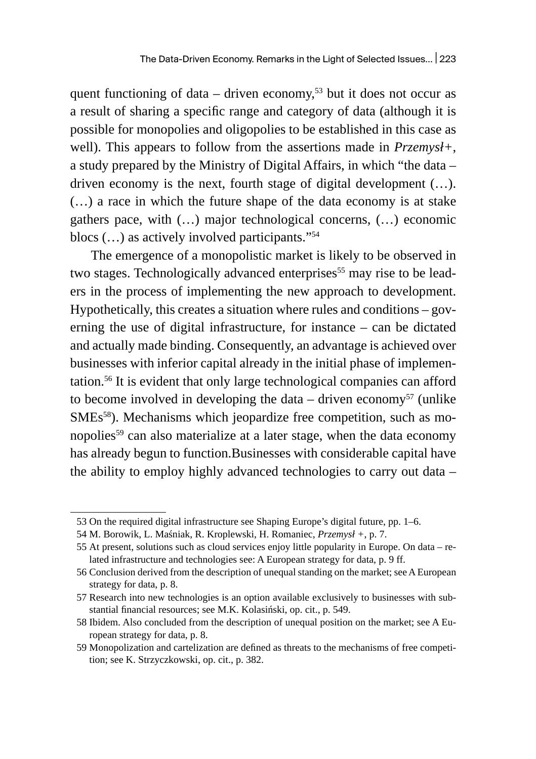quent functioning of data – driven economy,<sup>53</sup> but it does not occur as a result of sharing a specific range and category of data (although it is possible for monopolies and oligopolies to be established in this case as well). This appears to follow from the assertions made in *Przemysł+*, a study prepared by the Ministry of Digital Affairs, in which "the data – driven economy is the next, fourth stage of digital development (…). (…) a race in which the future shape of the data economy is at stake gathers pace, with (…) major technological concerns, (…) economic blocs  $(...)$  as actively involved participants." $54$ 

The emergence of a monopolistic market is likely to be observed in two stages. Technologically advanced enterprises<sup>55</sup> may rise to be leaders in the process of implementing the new approach to development. Hypothetically, this creates a situation where rules and conditions – governing the use of digital infrastructure, for instance – can be dictated and actually made binding. Consequently, an advantage is achieved over businesses with inferior capital already in the initial phase of implementation.<sup>56</sup> It is evident that only large technological companies can afford to become involved in developing the data – driven economy<sup>57</sup> (unlike SMEs<sup>58</sup>). Mechanisms which jeopardize free competition, such as monopolies<sup>59</sup> can also materialize at a later stage, when the data economy has already begun to function.Businesses with considerable capital have the ability to employ highly advanced technologies to carry out data –

<sup>53</sup> On the required digital infrastructure see Shaping Europe's digital future, pp. 1–6.

<sup>54</sup> M. Borowik, L. Maśniak, R. Kroplewski, H. Romaniec, *Przemysł +*, p. 7.

<sup>55</sup> At present, solutions such as cloud services enjoy little popularity in Europe. On data – related infrastructure and technologies see: A European strategy for data, p. 9 ff.

<sup>56</sup> Conclusion derived from the description of unequal standing on the market; see A European strategy for data, p. 8.

<sup>57</sup> Research into new technologies is an option available exclusively to businesses with substantial financial resources; see M.K. Kolasiński, op. cit., p. 549.

<sup>58</sup> Ibidem. Also concluded from the description of unequal position on the market; see A European strategy for data, p. 8.

<sup>59</sup> Monopolization and cartelization are defined as threats to the mechanisms of free competition; see K. Strzyczkowski, op. cit., p. 382.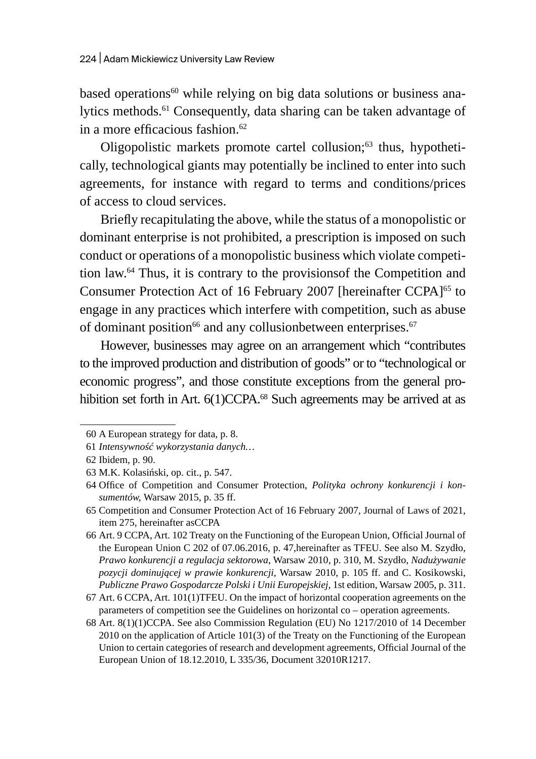based operations $60$  while relying on big data solutions or business analytics methods.<sup>61</sup> Consequently, data sharing can be taken advantage of in a more efficacious fashion. $62$ 

Oligopolistic markets promote cartel collusion;<sup>63</sup> thus, hypothetically, technological giants may potentially be inclined to enter into such agreements, for instance with regard to terms and conditions/prices of access to cloud services.

Briefly recapitulating the above, while the status of a monopolistic or dominant enterprise is not prohibited, a prescription is imposed on such conduct or operations of a monopolistic business which violate competition law.<sup>64</sup> Thus, it is contrary to the provisionsof the Competition and Consumer Protection Act of 16 February 2007 [hereinafter CCPA]<sup>65</sup> to engage in any practices which interfere with competition, such as abuse of dominant position $^{66}$  and any collusionbetween enterprises.  $^{67}$ 

However, businesses may agree on an arrangement which "contributes to the improved production and distribution of goods" or to "technological or economic progress", and those constitute exceptions from the general prohibition set forth in Art. 6(1)CCPA.<sup>68</sup> Such agreements may be arrived at as

<sup>60</sup> A European strategy for data, p. 8.

<sup>61</sup> *Intensywność wykorzystania danych…*

<sup>62</sup> Ibidem, p. 90.

<sup>63</sup> M.K. Kolasiński, op. cit., p. 547.

<sup>64</sup> Office of Competition and Consumer Protection, *Polityka ochrony konkurencji i konsumentów,* Warsaw 2015, p. 35 ff.

<sup>65</sup> Competition and Consumer Protection Act of 16 February 2007, Journal of Laws of 2021, item 275, hereinafter asCCPA

<sup>66</sup> Art. 9 CCPA, Art. 102 Treaty on the Functioning of the European Union, Official Journal of the European Union C 202 of 07.06.2016, p. 47,hereinafter as TFEU. See also M. Szydło, *Prawo konkurencji a regulacja sektorowa*, Warsaw 2010, p. 310, M. Szydło, *Nadużywanie pozycji dominującej w prawie konkurencji,* Warsaw 2010, p. 105 ff. and C. Kosikowski, *Publiczne Prawo Gospodarcze Polski i Unii Europejskiej,* 1st edition, Warsaw 2005, p. 311.

<sup>67</sup> Art. 6 CCPA, Art. 101(1)TFEU. On the impact of horizontal cooperation agreements on the parameters of competition see the Guidelines on horizontal co – operation agreements.

<sup>68</sup> Art. 8(1)(1)CCPA. See also Commission Regulation (EU) No 1217/2010 of 14 December 2010 on the application of Article 101(3) of the Treaty on the Functioning of the European Union to certain categories of research and development agreements, Official Journal of the European Union of 18.12.2010, L 335/36, Document 32010R1217.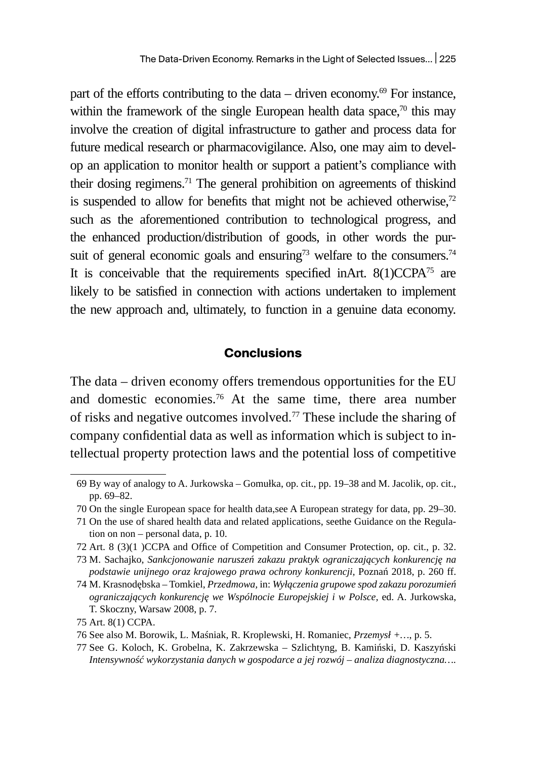part of the efforts contributing to the data – driven economy. $^{69}$  For instance, within the framework of the single European health data space, $\frac{70}{10}$  this may involve the creation of digital infrastructure to gather and process data for future medical research or pharmacovigilance. Also, one may aim to develop an application to monitor health or support a patient's compliance with their dosing regimens.<sup>71</sup> The general prohibition on agreements of thiskind is suspended to allow for benefits that might not be achieved otherwise, $72$ such as the aforementioned contribution to technological progress, and the enhanced production/distribution of goods, in other words the pursuit of general economic goals and ensuring<sup>73</sup> welfare to the consumers.<sup>74</sup> It is conceivable that the requirements specified inArt. 8(1)CCPA<sup>75</sup> are likely to be satisfied in connection with actions undertaken to implement the new approach and, ultimately, to function in a genuine data economy.

#### **Conclusions**

The data – driven economy offers tremendous opportunities for the EU and domestic economies.<sup>76</sup> At the same time, there area number of risks and negative outcomes involved.77 These include the sharing of company confidential data as well as information which is subject to intellectual property protection laws and the potential loss of competitive

72 Art. 8 (3)(1 )CCPA and Office of Competition and Consumer Protection, op. cit., p. 32.

<sup>69</sup> By way of analogy to A. Jurkowska – Gomułka, op. cit., pp. 19–38 and M. Jacolik, op. cit., pp. 69–82.

<sup>70</sup> On the single European space for health data,see A European strategy for data, pp. 29–30.

<sup>71</sup> On the use of shared health data and related applications, seethe Guidance on the Regulation on non – personal data, p. 10.

<sup>73</sup> M. Sachajko, *Sankcjonowanie naruszeń zakazu praktyk ograniczających konkurencję na podstawie unijnego oraz krajowego prawa ochrony konkurencji,* Poznań 2018, p. 260 ff.

<sup>74</sup> M. Krasnodębska – Tomkiel, *Przedmowa,* in: *Wyłączenia grupowe spod zakazu porozumień ograniczających konkurencję we Wspólnocie Europejskiej i w Polsce,* ed. A. Jurkowska, T. Skoczny, Warsaw 2008, p. 7.

<sup>75</sup> Art. 8(1) CCPA.

<sup>76</sup> See also M. Borowik, L. Maśniak, R. Kroplewski, H. Romaniec, *Przemysł +…*, p. 5.

<sup>77</sup> See G. Koloch, K. Grobelna, K. Zakrzewska – Szlichtyng, B. Kamiński, D. Kaszyński *Intensywność wykorzystania danych w gospodarce a jej rozwój – analiza diagnostyczna….*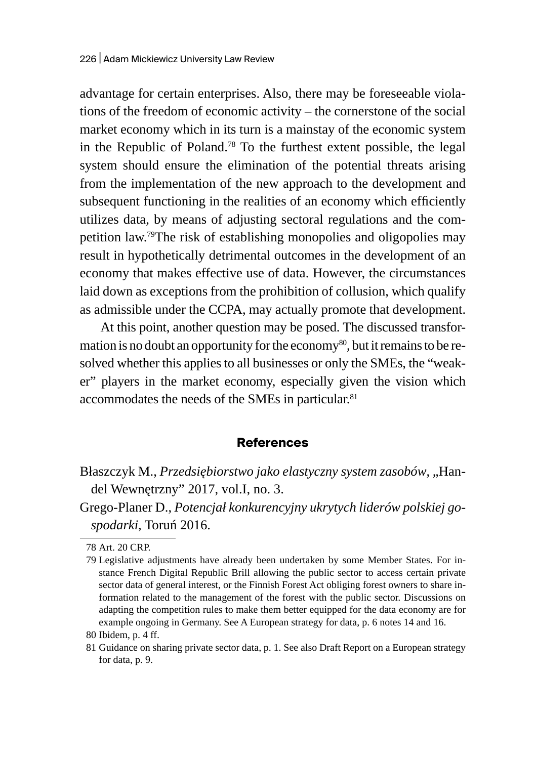advantage for certain enterprises. Also, there may be foreseeable violations of the freedom of economic activity – the cornerstone of the social market economy which in its turn is a mainstay of the economic system in the Republic of Poland.<sup>78</sup> To the furthest extent possible, the legal system should ensure the elimination of the potential threats arising from the implementation of the new approach to the development and subsequent functioning in the realities of an economy which efficiently utilizes data, by means of adjusting sectoral regulations and the competition law.79The risk of establishing monopolies and oligopolies may result in hypothetically detrimental outcomes in the development of an economy that makes effective use of data. However, the circumstances laid down as exceptions from the prohibition of collusion, which qualify as admissible under the CCPA, may actually promote that development.

At this point, another question may be posed. The discussed transformation is no doubt an opportunity for the economy<sup>80</sup>, but it remains to be resolved whether this applies to all businesses or only the SMEs, the "weaker" players in the market economy, especially given the vision which accommodates the needs of the SMEs in particular.<sup>81</sup>

#### **References**

Błaszczyk M., Przedsiębiorstwo jako elastyczny system zasobów, "Handel Wewnętrzny" 2017, vol.I, no. 3.

Grego-Planer D., *Potencjał konkurencyjny ukrytych liderów polskiej gospodarki*, Toruń 2016.

<sup>78</sup> Art. 20 CRP.

<sup>79</sup> Legislative adjustments have already been undertaken by some Member States. For instance French Digital Republic Brill allowing the public sector to access certain private sector data of general interest, or the Finnish Forest Act obliging forest owners to share information related to the management of the forest with the public sector. Discussions on adapting the competition rules to make them better equipped for the data economy are for example ongoing in Germany. See A European strategy for data, p. 6 notes 14 and 16.

<sup>80</sup> Ibidem, p. 4 ff.

<sup>81</sup> Guidance on sharing private sector data, p. 1. See also Draft Report on a European strategy for data, p. 9.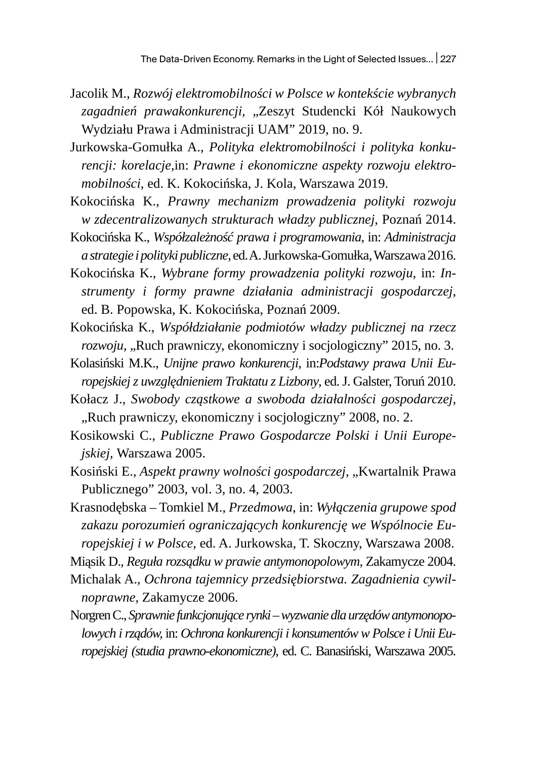- Jacolik M., *Rozwój elektromobilności w Polsce w kontekście wybranych*  zagadnień prawakonkurencji, "Zeszyt Studencki Kół Naukowych Wydziału Prawa i Administracji UAM" 2019, no. 9.
- Jurkowska-Gomułka A., *Polityka elektromobilności i polityka konkurencji: korelacje*,in: *Prawne i ekonomiczne aspekty rozwoju elektromobilności*, ed. K. Kokocińska, J. Kola, Warszawa 2019.
- Kokocińska K., *Prawny mechanizm prowadzenia polityki rozwoju w zdecentralizowanych strukturach władzy publicznej*, Poznań 2014.
- Kokocińska K., *Współzależność prawa i programowania*, in: *Administracja astrategie ipolityki publiczne*, ed. A.Jurkowska-Gomułka, Warszawa 2016.
- Kokocińska K., *Wybrane formy prowadzenia polityki rozwoju*, in: *Instrumenty i formy prawne działania administracji gospodarczej*, ed. B. Popowska, K. Kokocińska, Poznań 2009.
- Kokocińska K., *Współdziałanie podmiotów władzy publicznej na rzecz rozwoju*, "Ruch prawniczy, ekonomiczny i socjologiczny" 2015, no. 3.
- Kolasiński M.K., *Unijne prawo konkurencji*, in:*Podstawy prawa Unii Europejskiej z uwzględnieniem Traktatu z Lizbony*, ed. J. Galster, Toruń 2010.
- Kołacz J., *Swobody cząstkowe a swoboda działalności gospodarczej,*  "Ruch prawniczy, ekonomiczny i socjologiczny" 2008, no. 2.
- Kosikowski C., *Publiczne Prawo Gospodarcze Polski i Unii Europejskiej*, Warszawa 2005.
- Kosiński E., *Aspekt prawny wolności gospodarczej*, "Kwartalnik Prawa Publicznego" 2003, vol. 3, no. 4, 2003.
- Krasnodębska Tomkiel M., *Przedmowa*, in: *Wyłączenia grupowe spod zakazu porozumień ograniczających konkurencję we Wspólnocie Europejskiej i w Polsce*, ed. A. Jurkowska, T. Skoczny, Warszawa 2008.

Miąsik D., *Reguła rozsądku w prawie antymonopolowym*, Zakamycze 2004.

- Michalak A., *Ochrona tajemnicy przedsiębiorstwa. Zagadnienia cywilnoprawne*, Zakamycze 2006.
- Norgren C., *Sprawnie funkcjonujące rynki wyzwanie dla urzędów antymonopolowych irządów,* in: *Ochrona konkurencji i konsumentów w Polsce i Unii Europejskiej (studia prawno-ekonomiczne)*, ed. C. Banasiński, Warszawa 2005.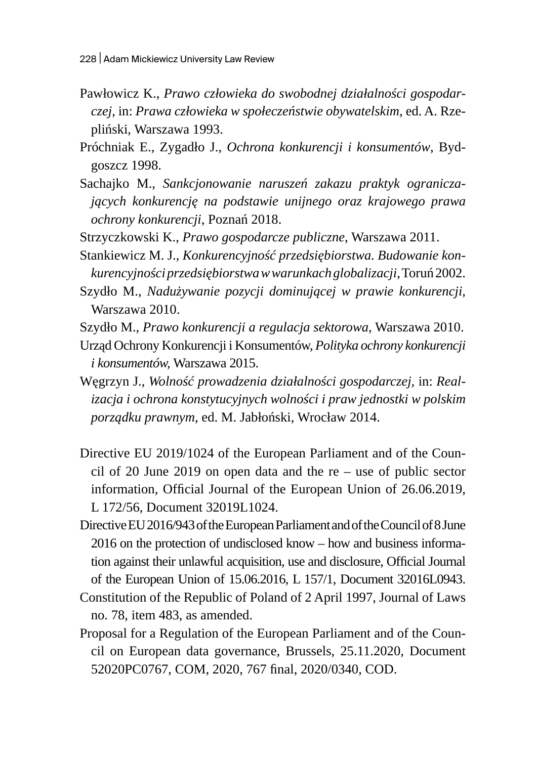- Pawłowicz K., *Prawo człowieka do swobodnej działalności gospodarczej*, in: *Prawa człowieka w społeczeństwie obywatelskim*, ed. A. Rzepliński, Warszawa 1993.
- Próchniak E., Zygadło J., *Ochrona konkurencji i konsumentów*, Bydgoszcz 1998.
- Sachajko M., *Sankcjonowanie naruszeń zakazu praktyk ograniczających konkurencję na podstawie unijnego oraz krajowego prawa ochrony konkurencji*, Poznań 2018.
- Strzyczkowski K., *Prawo gospodarcze publiczne*, Warszawa 2011.
- Stankiewicz M. J., *Konkurencyjność przedsiębiorstwa. Budowanie konkurencyjności przedsiębiorstwa wwarunkach globalizacji*, Toruń 2002.
- Szydło M., *Nadużywanie pozycji dominującej w prawie konkurencji*, Warszawa 2010.
- Szydło M., *Prawo konkurencji a regulacja sektorowa*, Warszawa 2010.
- Urząd Ochrony Konkurencji i Konsumentów, *Polityka ochrony konkurencji i konsumentów,* Warszawa 2015.
- Węgrzyn J., *Wolność prowadzenia działalności gospodarczej,* in: *Realizacja i ochrona konstytucyjnych wolności i praw jednostki w polskim porządku prawnym*, ed. M. Jabłoński, Wrocław 2014.
- Directive EU 2019/1024 of the European Parliament and of the Council of 20 June 2019 on open data and the  $re$  – use of public sector information, Official Journal of the European Union of 26.06.2019, L 172/56, Document 32019L1024.
- Directive EU 2016/943 of the European Parliament and of the Council of 8June 2016 on the protection of undisclosed know – how and business information against their unlawful acquisition, use and disclosure, Official Journal of the European Union of 15.06.2016, L 157/1, Document 32016L0943.
- Constitution of the Republic of Poland of 2 April 1997, Journal of Laws no. 78, item 483, as amended.
- Proposal for a Regulation of the European Parliament and of the Council on European data governance, Brussels, 25.11.2020, Document 52020PC0767, COM, 2020, 767 final, 2020/0340, COD.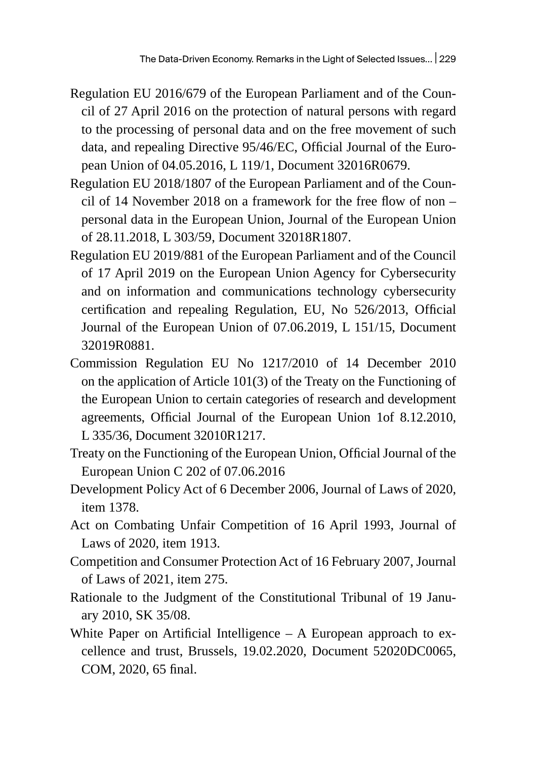- Regulation EU 2016/679 of the European Parliament and of the Council of 27 April 2016 on the protection of natural persons with regard to the processing of personal data and on the free movement of such data, and repealing Directive 95/46/EC, Official Journal of the European Union of 04.05.2016, L 119/1, Document 32016R0679.
- Regulation EU 2018/1807 of the European Parliament and of the Council of 14 November 2018 on a framework for the free flow of non – personal data in the European Union, Journal of the European Union of 28.11.2018, L 303/59, Document 32018R1807.
- Regulation EU 2019/881 of the European Parliament and of the Council of 17 April 2019 on the European Union Agency for Cybersecurity and on information and communications technology cybersecurity certification and repealing Regulation, EU, No 526/2013, Official Journal of the European Union of 07.06.2019, L 151/15, Document 32019R0881.
- Commission Regulation EU No 1217/2010 of 14 December 2010 on the application of Article 101(3) of the Treaty on the Functioning of the European Union to certain categories of research and development agreements, Official Journal of the European Union 1of 8.12.2010, L 335/36, Document 32010R1217.
- Treaty on the Functioning of the European Union, Official Journal of the European Union C 202 of 07.06.2016
- Development Policy Act of 6 December 2006, Journal of Laws of 2020, item 1378.
- Act on Combating Unfair Competition of 16 April 1993, Journal of Laws of 2020, item 1913.
- Competition and Consumer Protection Act of 16 February 2007, Journal of Laws of 2021, item 275.
- Rationale to the Judgment of the Constitutional Tribunal of 19 January 2010, SK 35/08.
- White Paper on Artificial Intelligence  $-$  A European approach to excellence and trust, Brussels, 19.02.2020, Document 52020DC0065, COM, 2020, 65 final.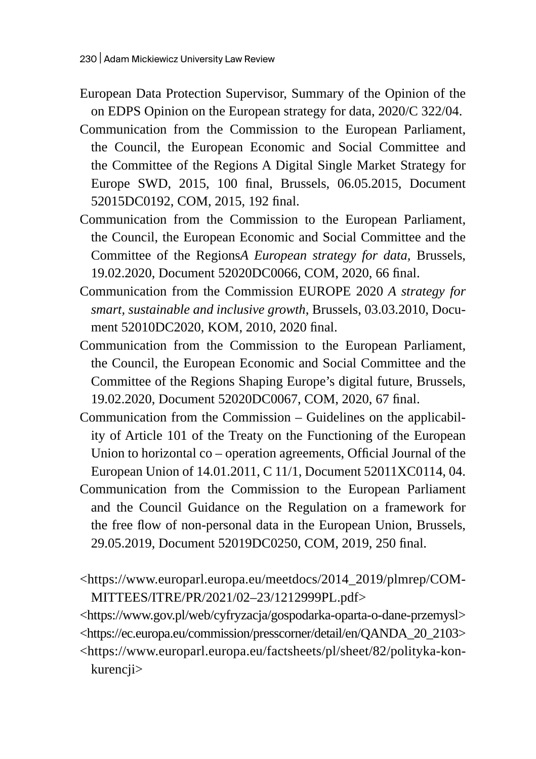- European Data Protection Supervisor, Summary of the Opinion of the on EDPS Opinion on the European strategy for data, 2020/C 322/04.
- Communication from the Commission to the European Parliament, the Council, the European Economic and Social Committee and the Committee of the Regions A Digital Single Market Strategy for Europe SWD, 2015, 100 final, Brussels, 06.05.2015, Document 52015DC0192, COM, 2015, 192 final.
- Communication from the Commission to the European Parliament, the Council, the European Economic and Social Committee and the Committee of the Regions*A European strategy for data,* Brussels, 19.02.2020, Document 52020DC0066, COM, 2020, 66 final.
- Communication from the Commission EUROPE 2020 *A strategy for smart, sustainable and inclusive growth*, Brussels, 03.03.2010, Document 52010DC2020, KOM, 2010, 2020 final.
- Communication from the Commission to the European Parliament, the Council, the European Economic and Social Committee and the Committee of the Regions Shaping Europe's digital future, Brussels, 19.02.2020, Document 52020DC0067, COM, 2020, 67 final.
- Communication from the Commission Guidelines on the applicability of Article 101 of the Treaty on the Functioning of the European Union to horizontal co – operation agreements, Official Journal of the European Union of 14.01.2011, C 11/1, Document 52011XC0114, 04.
- Communication from the Commission to the European Parliament and the Council Guidance on the Regulation on a framework for the free flow of non-personal data in the European Union, Brussels, 29.05.2019, Document 52019DC0250, COM, 2019, 250 final.
- <https://www.europarl.europa.eu/meetdocs/2014\_2019/plmrep/COM-MITTEES/ITRE/PR/2021/02–23/1212999PL.pdf>

<https://www.gov.pl/web/cyfryzacja/gospodarka-oparta-o-dane-przemysl> <https://ec.europa.eu/commission/presscorner/detail/en/QANDA\_20\_2103> <https://www.europarl.europa.eu/factsheets/pl/sheet/82/polityka-konkurencji>